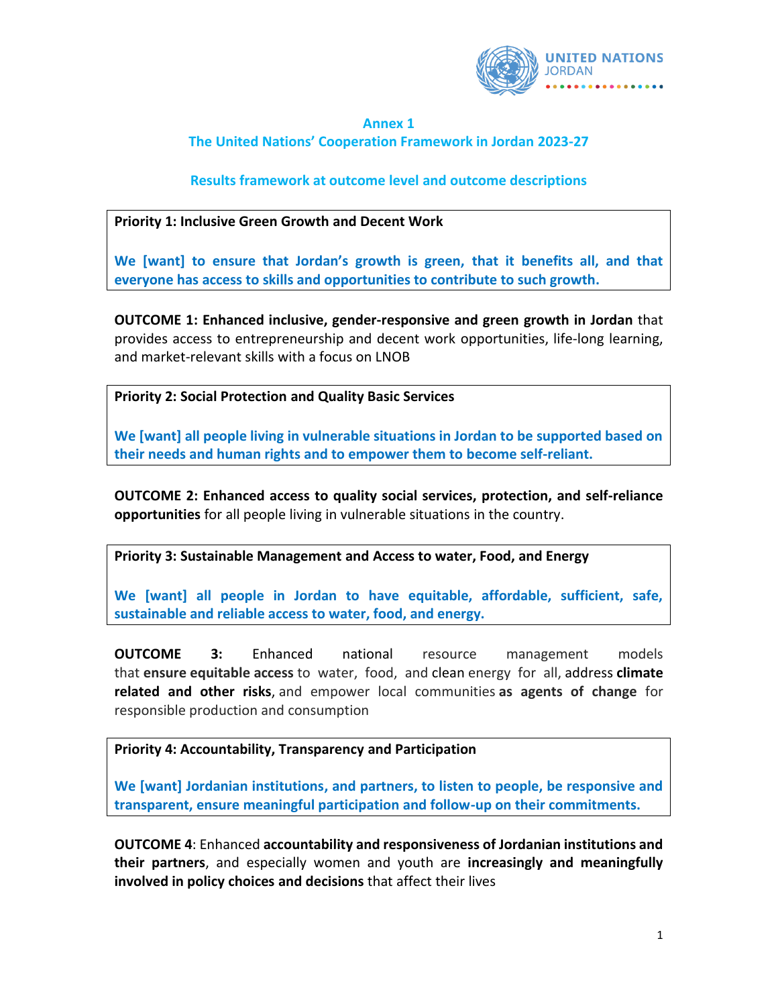

## **Annex 1 The United Nations' Cooperation Framework in Jordan 2023-27**

## **Results framework at outcome level and outcome descriptions**

## **Priority 1: Inclusive Green Growth and Decent Work**

**We [want] to ensure that Jordan's growth is green, that it benefits all, and that everyone has access to skills and opportunities to contribute to such growth.**

**OUTCOME 1: Enhanced inclusive, gender-responsive and green growth in Jordan** that provides access to entrepreneurship and decent work opportunities, life-long learning, and market-relevant skills with a focus on LNOB

**Priority 2: Social Protection and Quality Basic Services**

**We [want] all people living in vulnerable situations in Jordan to be supported based on their needs and human rights and to empower them to become self-reliant.**

**OUTCOME 2: Enhanced access to quality social services, protection, and self-reliance opportunities** for all people living in vulnerable situations in the country.

**Priority 3: Sustainable Management and Access to water, Food, and Energy**

**We [want] all people in Jordan to have equitable, affordable, sufficient, safe, sustainable and reliable access to water, food, and energy.**

**OUTCOME 3:** Enhanced national resource management models that **ensure equitable access** to water, food, and clean energy for all, address **climate related and other risks**, and empower local communities **as agents of change** for responsible production and consumption

## **Priority 4: Accountability, Transparency and Participation**

**We [want] Jordanian institutions, and partners, to listen to people, be responsive and transparent, ensure meaningful participation and follow-up on their commitments.** 

**OUTCOME 4**: Enhanced **accountability and responsiveness of Jordanian institutions and their partners**, and especially women and youth are **increasingly and meaningfully involved in policy choices and decisions** that affect their lives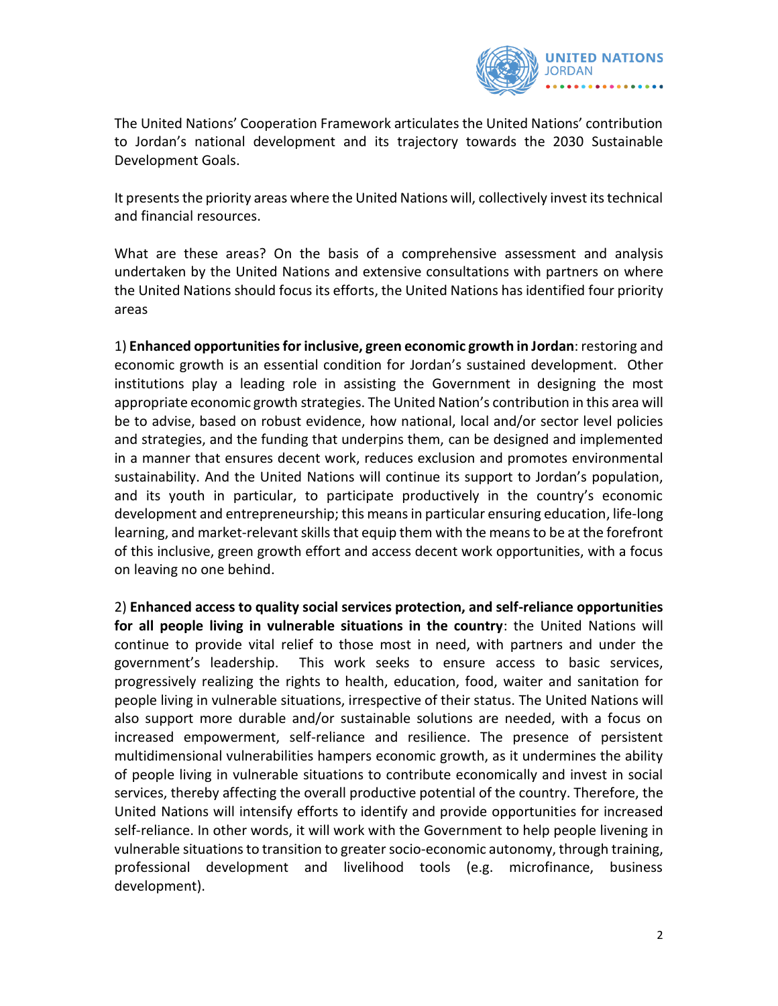

The United Nations' Cooperation Framework articulates the United Nations' contribution to Jordan's national development and its trajectory towards the 2030 Sustainable Development Goals.

It presents the priority areas where the United Nations will, collectively invest its technical and financial resources.

What are these areas? On the basis of a comprehensive assessment and analysis undertaken by the United Nations and extensive consultations with partners on where the United Nations should focus its efforts, the United Nations has identified four priority areas

1) **Enhanced opportunities for inclusive, green economic growth in Jordan**: restoring and economic growth is an essential condition for Jordan's sustained development. Other institutions play a leading role in assisting the Government in designing the most appropriate economic growth strategies. The United Nation's contribution in this area will be to advise, based on robust evidence, how national, local and/or sector level policies and strategies, and the funding that underpins them, can be designed and implemented in a manner that ensures decent work, reduces exclusion and promotes environmental sustainability. And the United Nations will continue its support to Jordan's population, and its youth in particular, to participate productively in the country's economic development and entrepreneurship; this means in particular ensuring education, life-long learning, and market-relevant skills that equip them with the means to be at the forefront of this inclusive, green growth effort and access decent work opportunities, with a focus on leaving no one behind.

2) **Enhanced access to quality social services protection, and self-reliance opportunities for all people living in vulnerable situations in the country**: the United Nations will continue to provide vital relief to those most in need, with partners and under the government's leadership. This work seeks to ensure access to basic services, progressively realizing the rights to health, education, food, waiter and sanitation for people living in vulnerable situations, irrespective of their status. The United Nations will also support more durable and/or sustainable solutions are needed, with a focus on increased empowerment, self-reliance and resilience. The presence of persistent multidimensional vulnerabilities hampers economic growth, as it undermines the ability of people living in vulnerable situations to contribute economically and invest in social services, thereby affecting the overall productive potential of the country. Therefore, the United Nations will intensify efforts to identify and provide opportunities for increased self-reliance. In other words, it will work with the Government to help people livening in vulnerable situations to transition to greater socio-economic autonomy, through training, professional development and livelihood tools (e.g. microfinance, business development).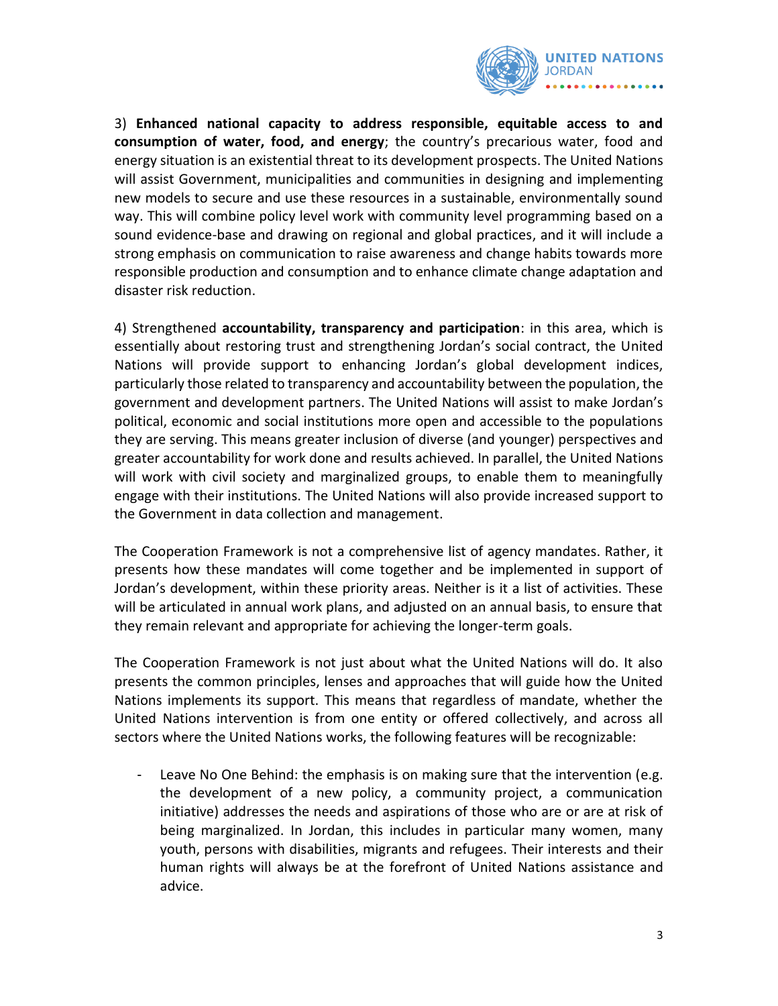

3) **Enhanced national capacity to address responsible, equitable access to and consumption of water, food, and energy**; the country's precarious water, food and energy situation is an existential threat to its development prospects. The United Nations will assist Government, municipalities and communities in designing and implementing new models to secure and use these resources in a sustainable, environmentally sound way. This will combine policy level work with community level programming based on a sound evidence-base and drawing on regional and global practices, and it will include a strong emphasis on communication to raise awareness and change habits towards more responsible production and consumption and to enhance climate change adaptation and disaster risk reduction.

4) Strengthened **accountability, transparency and participation**: in this area, which is essentially about restoring trust and strengthening Jordan's social contract, the United Nations will provide support to enhancing Jordan's global development indices, particularly those related to transparency and accountability between the population, the government and development partners. The United Nations will assist to make Jordan's political, economic and social institutions more open and accessible to the populations they are serving. This means greater inclusion of diverse (and younger) perspectives and greater accountability for work done and results achieved. In parallel, the United Nations will work with civil society and marginalized groups, to enable them to meaningfully engage with their institutions. The United Nations will also provide increased support to the Government in data collection and management.

The Cooperation Framework is not a comprehensive list of agency mandates. Rather, it presents how these mandates will come together and be implemented in support of Jordan's development, within these priority areas. Neither is it a list of activities. These will be articulated in annual work plans, and adjusted on an annual basis, to ensure that they remain relevant and appropriate for achieving the longer-term goals.

The Cooperation Framework is not just about what the United Nations will do. It also presents the common principles, lenses and approaches that will guide how the United Nations implements its support. This means that regardless of mandate, whether the United Nations intervention is from one entity or offered collectively, and across all sectors where the United Nations works, the following features will be recognizable:

- Leave No One Behind: the emphasis is on making sure that the intervention (e.g. the development of a new policy, a community project, a communication initiative) addresses the needs and aspirations of those who are or are at risk of being marginalized. In Jordan, this includes in particular many women, many youth, persons with disabilities, migrants and refugees. Their interests and their human rights will always be at the forefront of United Nations assistance and advice.